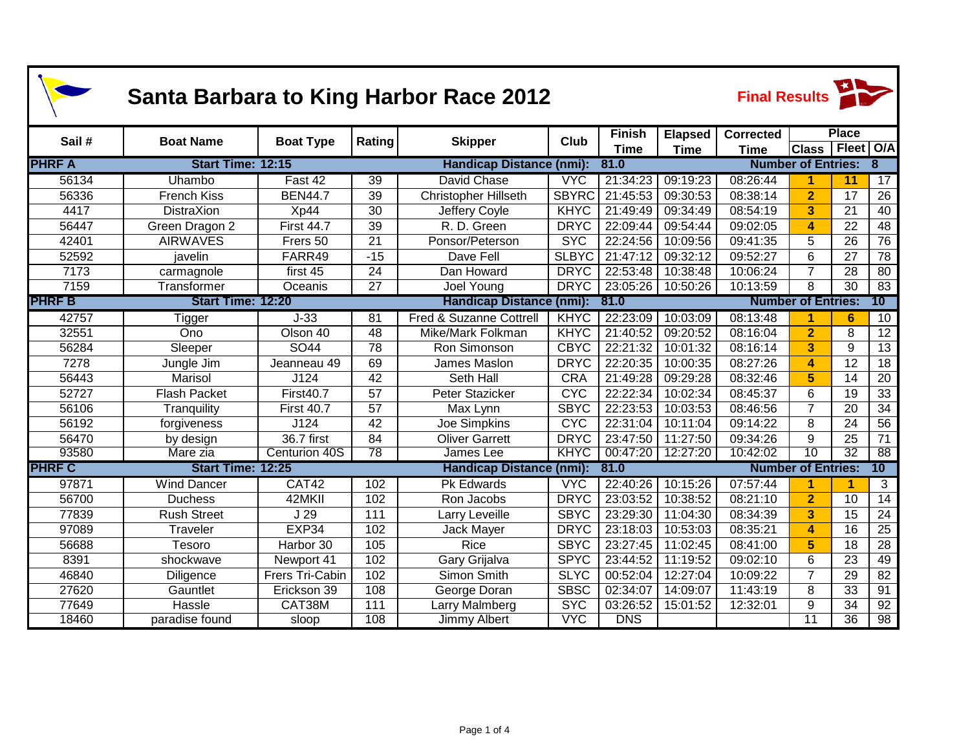| <b>Santa Barbara to King Harbor Race 2012</b> |                                                      |                   |                 |                                    |              |               |                | <b>Final Results</b> |                           |                 |                 |  |
|-----------------------------------------------|------------------------------------------------------|-------------------|-----------------|------------------------------------|--------------|---------------|----------------|----------------------|---------------------------|-----------------|-----------------|--|
| Sail#                                         | <b>Boat Name</b>                                     | <b>Boat Type</b>  | Rating          | <b>Skipper</b>                     | <b>Club</b>  | <b>Finish</b> | <b>Elapsed</b> | <b>Corrected</b>     |                           | <b>Place</b>    |                 |  |
|                                               |                                                      |                   |                 |                                    |              | <b>Time</b>   | <b>Time</b>    | <b>Time</b>          | <b>Class</b>              | Fleet   O/A     |                 |  |
| <b>PHRF A</b>                                 | Start Time: 12:15                                    |                   |                 | <b>Handicap Distance (nmi):</b>    |              | 81.0          |                |                      | <b>Number of Entries:</b> | 8               |                 |  |
| 56134                                         | Uhambo                                               | Fast 42           | 39              | David Chase                        | <b>VYC</b>   | 21:34:23      | 09:19:23       | 08:26:44             | 1                         | 11              | 17              |  |
| 56336                                         | <b>French Kiss</b>                                   | <b>BEN44.7</b>    | 39              | <b>Christopher Hillseth</b>        | <b>SBYRC</b> | 21:45:53      | 09:30:53       | 08:38:14             | $\overline{2}$            | 17              | 26              |  |
| 4417                                          | <b>DistraXion</b>                                    | Xp44              | 30              | Jeffery Coyle                      | <b>KHYC</b>  | 21:49:49      | 09:34:49       | 08:54:19             | 3                         | 21              | 40              |  |
| 56447                                         | Green Dragon 2                                       | <b>First 44.7</b> | 39              | R. D. Green                        | <b>DRYC</b>  | 22:09:44      | 09:54:44       | 09:02:05             | 4                         | 22              | 48              |  |
| 42401                                         | <b>AIRWAVES</b>                                      | Frers 50          | 21              | Ponsor/Peterson                    | <b>SYC</b>   | 22:24:56      | 10:09:56       | 09:41:35             | 5                         | 26              | 76              |  |
| 52592                                         | javelin                                              | FARR49            | $-15$           | Dave Fell                          | <b>SLBYC</b> | 21:47:12      | 09:32:12       | 09:52:27             | 6                         | 27              | $\overline{78}$ |  |
| 7173                                          | carmagnole                                           | first 45          | 24              | Dan Howard                         | <b>DRYC</b>  | 22:53:48      | 10:38:48       | 10:06:24             | $\overline{7}$            | 28              | 80              |  |
| 7159                                          | Transformer                                          | Oceanis           | 27              | Joel Young                         | <b>DRYC</b>  | 23:05:26      | 10:50:26       | 10:13:59             | 8                         | 30              | 83              |  |
| <b>PHRFB</b>                                  | Start Time: 12:20<br><b>Handicap Distance (nmi):</b> |                   |                 |                                    |              | 81.0          |                |                      | <b>Number of Entries:</b> |                 | 10              |  |
| 42757                                         | <b>Tigger</b>                                        | $J-33$            | $\overline{81}$ | <b>Fred &amp; Suzanne Cottrell</b> | KHYC         | 22:23:09      | 10:03:09       | 08:13:48             | 1                         | 6               | 10              |  |
| 32551                                         | Ono                                                  | Olson 40          | $\overline{48}$ | Mike/Mark Folkman                  | <b>KHYC</b>  | 21:40:52      | 09:20:52       | 08:16:04             | $\overline{2}$            | 8               | $\overline{12}$ |  |
| 56284                                         | Sleeper                                              | SO44              | $\overline{78}$ | Ron Simonson                       | <b>CBYC</b>  | 22:21:32      | 10:01:32       | 08:16:14             | 3                         | 9               | 13              |  |
| 7278                                          | Jungle Jim                                           | Jeanneau 49       | 69              | James Maslon                       | <b>DRYC</b>  | 22:20:35      | 10:00:35       | 08:27:26             | 4                         | 12              | 18              |  |
| 56443                                         | Marisol                                              | J124              | 42              | Seth Hall                          | <b>CRA</b>   | 21:49:28      | 09:29:28       | 08:32:46             | 5                         | 14              | 20              |  |
| 52727                                         | <b>Flash Packet</b>                                  | <b>First40.7</b>  | 57              | Peter Stazicker                    | <b>CYC</b>   | 22:22:34      | 10:02:34       | 08:45:37             | 6                         | 19              | 33              |  |
| 56106                                         | Tranquility                                          | <b>First 40.7</b> | $\overline{57}$ | Max Lynn                           | <b>SBYC</b>  | 22:23:53      | 10:03:53       | 08:46:56             | $\overline{7}$            | $\overline{20}$ | $\overline{34}$ |  |
| 56192                                         | forgiveness                                          | J124              | 42              | Joe Simpkins                       | <b>CYC</b>   | 22:31:04      | 10:11:04       | 09:14:22             | 8                         | 24              | 56              |  |
| 56470                                         | by design                                            | 36.7 first        | 84              | <b>Oliver Garrett</b>              | <b>DRYC</b>  | 23:47:50      | 11:27:50       | 09:34:26             | 9                         | $\overline{25}$ | $\overline{71}$ |  |
| 93580                                         | Mare zia                                             | Centurion 40S     | 78              | James Lee                          | <b>KHYC</b>  | 00:47:20      | 12:27:20       | 10:42:02             | $\overline{10}$           | $\overline{32}$ | $\overline{88}$ |  |
| <b>PHRF C</b>                                 | Start Time: 12:25                                    |                   |                 | <b>Handicap Distance (nmi):</b>    |              | 81.0          |                |                      | <b>Number of Entries:</b> |                 | 10              |  |
| 97871                                         | <b>Wind Dancer</b>                                   | CAT42             | 102             | <b>Pk Edwards</b>                  | <b>VYC</b>   | 22:40:26      | 10:15:26       | 07:57:44             | 1                         |                 | 3               |  |
| 56700                                         | <b>Duchess</b>                                       | 42MKII            | 102             | Ron Jacobs                         | <b>DRYC</b>  | 23:03:52      | 10:38:52       | 08:21:10             | $\overline{2}$            | 10              | 14              |  |
| 77839                                         | <b>Rush Street</b>                                   | J29               | 111             | Larry Leveille                     | <b>SBYC</b>  | 23:29:30      | 11:04:30       | 08:34:39             | 3                         | 15              | 24              |  |
| 97089                                         | Traveler                                             | EXP34             | 102             | Jack Mayer                         | <b>DRYC</b>  | 23:18:03      | 10:53:03       | 08:35:21             | 4                         | 16              | $\overline{25}$ |  |
| 56688                                         | Tesoro                                               | Harbor 30         | 105             | Rice                               | <b>SBYC</b>  | 23:27:45      | 11:02:45       | 08:41:00             | 5                         | 18              | 28              |  |
| 8391                                          | shockwave                                            | Newport 41        | 102             | Gary Grijalva                      | <b>SPYC</b>  | 23:44:52      | 11:19:52       | 09:02:10             | 6                         | 23              | 49              |  |
| 46840                                         | Diligence                                            | Frers Tri-Cabin   | 102             | Simon Smith                        | <b>SLYC</b>  | 00:52:04      | 12:27:04       | 10:09:22             | $\overline{7}$            | 29              | $\overline{82}$ |  |
| 27620                                         | Gauntlet                                             | Erickson 39       | 108             | George Doran                       | <b>SBSC</b>  | 02:34:07      | 14:09:07       | 11:43:19             | 8                         | 33              | 91              |  |
| 77649                                         | Hassle                                               | CAT38M            | 111             | Larry Malmberg                     | <b>SYC</b>   | 03:26:52      | 15:01:52       | 12:32:01             | 9                         | 34              | 92              |  |
| 18460                                         | paradise found                                       | sloop             | 108             | Jimmy Albert                       | <b>VYC</b>   | <b>DNS</b>    |                |                      | 11                        | 36              | 98              |  |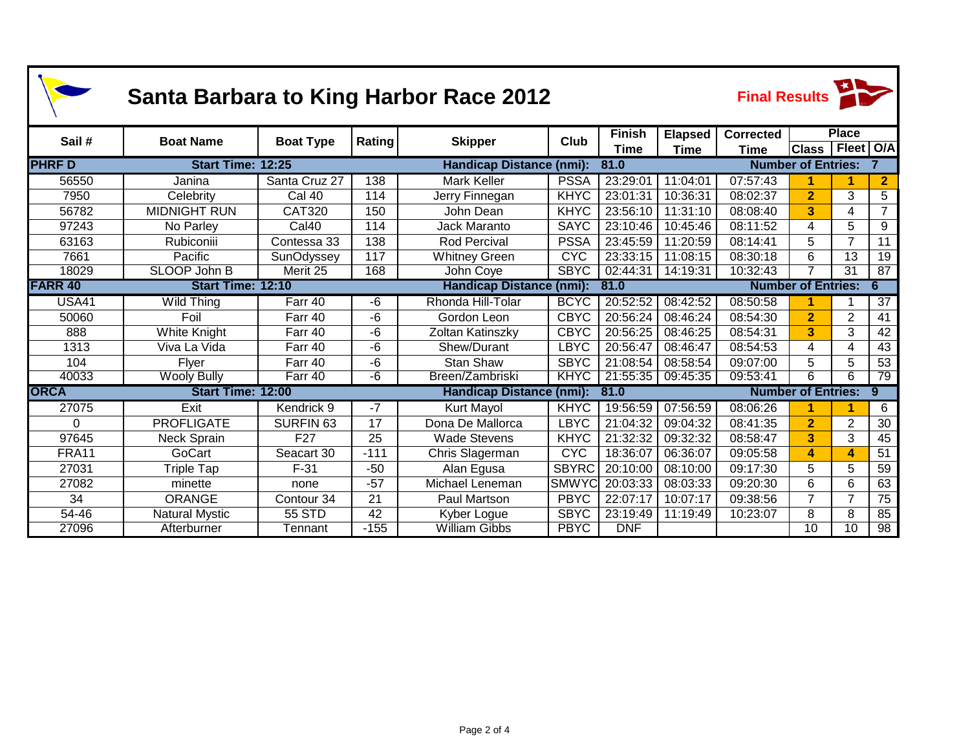| <b>Santa Barbara to King Harbor Race 2012</b> |                          |                  |        |                                         |              |               |                | <b>Final Results</b>           |                           |                 |                  |  |
|-----------------------------------------------|--------------------------|------------------|--------|-----------------------------------------|--------------|---------------|----------------|--------------------------------|---------------------------|-----------------|------------------|--|
| Sail#                                         | <b>Boat Name</b>         | <b>Boat Type</b> | Rating | <b>Skipper</b>                          | <b>Club</b>  | <b>Finish</b> | <b>Elapsed</b> | <b>Corrected</b>               |                           | <b>Place</b>    |                  |  |
|                                               |                          |                  |        |                                         |              | Time          | Time           | Time                           | <b>Class</b>              | Fleet   O/A     |                  |  |
| <b>PHRFD</b>                                  | Start Time: 12:25        |                  |        | <b>Handicap Distance (nmi):</b>         |              | 81.0          |                |                                | <b>Number of Entries:</b> |                 |                  |  |
| 56550                                         | Janina                   | Santa Cruz 27    | 138    | <b>Mark Keller</b>                      | <b>PSSA</b>  | 23:29:01      | 11:04:01       | 07:57:43                       |                           |                 | $\mathbf{2}$     |  |
| 7950                                          | Celebrity                | Cal 40           | 114    | Jerry Finnegan                          | <b>KHYC</b>  | 23:01:31      | 10:36:31       | 08:02:37                       | $\overline{2}$            | 3               | $\overline{5}$   |  |
| 56782                                         | <b>MIDNIGHT RUN</b>      | <b>CAT320</b>    | 150    | John Dean                               | <b>KHYC</b>  | 23:56:10      | 11:31:10       | 08:08:40                       | 3                         | 4               | $\overline{7}$   |  |
| 97243                                         | No Parley                | Cal40            | 114    | Jack Maranto                            | <b>SAYC</b>  | 23:10:46      | 10:45:46       | 08:11:52                       | 4                         | 5               | $\boldsymbol{9}$ |  |
| 63163                                         | Rubiconiii               | Contessa 33      | 138    | <b>Rod Percival</b>                     | <b>PSSA</b>  | 23:45:59      | 11:20:59       | 08:14:41                       | 5                         | $\overline{7}$  | $\overline{11}$  |  |
| 7661                                          | Pacific                  | SunOdyssey       | 117    | <b>Whitney Green</b>                    | <b>CYC</b>   | 23:33:15      | 11:08:15       | 08:30:18                       | 6                         | 13              | 19               |  |
| 18029                                         | SLOOP John B             | Merit 25         | 168    | John Coye                               | <b>SBYC</b>  | 02:44:31      | 14:19:31       | 10:32:43                       |                           | $\overline{31}$ | $\overline{87}$  |  |
| <b>FARR 40</b>                                | <b>Start Time: 12:10</b> |                  |        | Handicap Distance (nmi):<br>81.0        |              |               |                |                                | <b>Number of Entries:</b> |                 |                  |  |
| <b>USA41</b>                                  | <b>Wild Thing</b>        | Farr 40          | -6     | Rhonda Hill-Tolar                       | <b>BCYC</b>  | 20:52:52      | 08:42:52       | 08:50:58                       |                           |                 | $\overline{37}$  |  |
| 50060                                         | Foil                     | Farr 40          | -6     | Gordon Leon                             | <b>CBYC</b>  | 20:56:24      | 08:46:24       | 08:54:30                       | $\overline{2}$            | $\overline{2}$  | 41               |  |
| 888                                           | White Knight             | Farr 40          | -6     | Zoltan Katinszky                        | <b>CBYC</b>  | 20:56:25      | 08:46:25       | 08:54:31                       | 3                         | 3               | 42               |  |
| 1313                                          | Viva La Vida             | Farr 40          | -6     | Shew/Durant                             | <b>LBYC</b>  | 20:56:47      | 08:46:47       | 08:54:53                       | 4                         | 4               | 43               |  |
| 104                                           | Flyer                    | Farr 40          | -6     | <b>Stan Shaw</b>                        | <b>SBYC</b>  | 21:08:54      | 08:58:54       | 09:07:00                       | 5                         | 5               | $\overline{53}$  |  |
| 40033                                         | <b>Wooly Bully</b>       | Farr 40          | -6     | Breen/Zambriski                         | KHYC         | 21:55:35      | 09:45:35       | 09:53:41                       | 6                         | 6               | 79               |  |
| <b>ORCA</b>                                   | <b>Start Time: 12:00</b> |                  |        | <b>Handicap Distance (nmi):</b><br>81.0 |              |               |                | <b>Number of Entries:</b><br>9 |                           |                 |                  |  |
| 27075                                         | Exit                     | Kendrick 9       | -7     | <b>Kurt Mayol</b>                       | <b>KHYC</b>  | 19:56:59      | 07:56:59       | 08:06:26                       |                           |                 | 6                |  |
| $\Omega$                                      | <b>PROFLIGATE</b>        | <b>SURFIN 63</b> | 17     | Dona De Mallorca                        | <b>LBYC</b>  | 21:04:32      | 09:04:32       | 08:41:35                       | $\overline{2}$            | $\overline{2}$  | $\overline{30}$  |  |
| 97645                                         | <b>Neck Sprain</b>       | F <sub>27</sub>  | 25     | <b>Wade Stevens</b>                     | <b>KHYC</b>  | 21:32:32      | 09:32:32       | 08:58:47                       | 3                         | 3               | 45               |  |
| FRA11                                         | GoCart                   | Seacart 30       | $-111$ | Chris Slagerman                         | <b>CYC</b>   | 18:36:07      | 06:36:07       | 09:05:58                       | 4                         | 4               | 51               |  |
| 27031                                         | <b>Triple Tap</b>        | $F-31$           | $-50$  | Alan Egusa                              | <b>SBYRC</b> | 20:10:00      | 08:10:00       | 09:17:30                       | 5                         | 5               | 59               |  |
| 27082                                         | minette                  | none             | $-57$  | Michael Leneman                         | <b>SMWYC</b> | 20:03:33      | 08:03:33       | 09:20:30                       | 6                         | 6               | 63               |  |
| 34                                            | <b>ORANGE</b>            | Contour 34       | 21     | Paul Martson                            | <b>PBYC</b>  | 22:07:17      | 10:07:17       | 09:38:56                       | 7                         | $\overline{7}$  | $\overline{75}$  |  |
| 54-46                                         | <b>Natural Mystic</b>    | 55 STD           | 42     | Kyber Logue                             | <b>SBYC</b>  | 23:19:49      | 11:19:49       | 10:23:07                       | 8                         | 8               | 85               |  |
| 27096                                         | Afterburner              | Tennant          | $-155$ | <b>William Gibbs</b>                    | <b>PBYC</b>  | <b>DNF</b>    |                |                                | 10                        | 10              | 98               |  |

7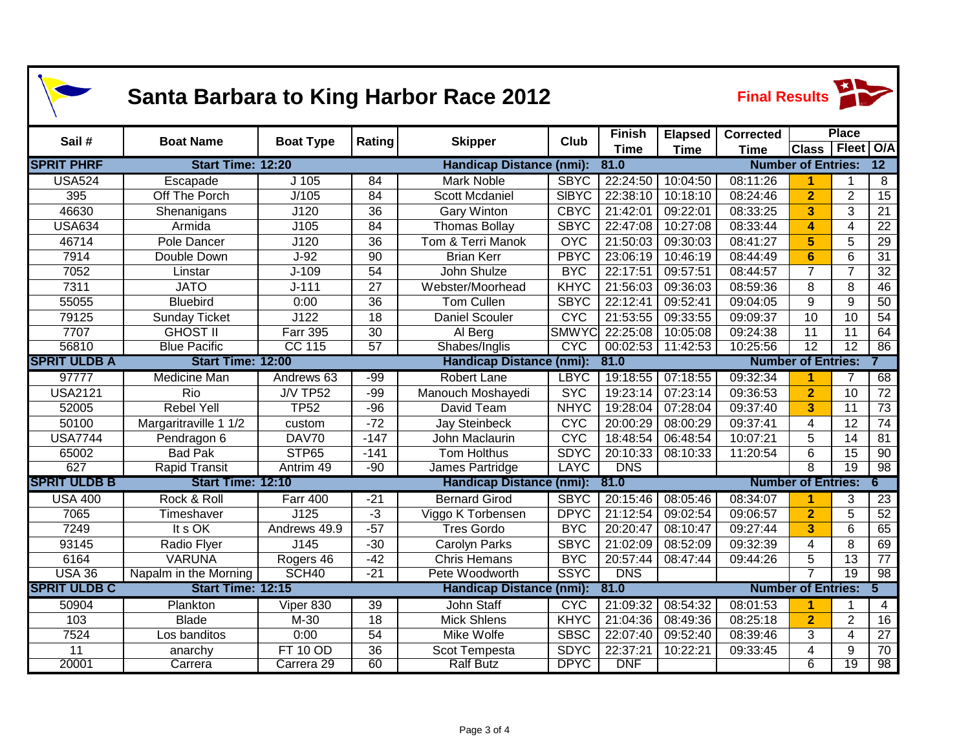| <b>Santa Barbara to King Harbor Race 2012</b> |                          |                       |                 |                                 |              |               |                |                  | <b>Final Results</b>      |                 |                 |  |  |
|-----------------------------------------------|--------------------------|-----------------------|-----------------|---------------------------------|--------------|---------------|----------------|------------------|---------------------------|-----------------|-----------------|--|--|
| Sail#                                         | <b>Boat Name</b>         | <b>Boat Type</b>      | Rating          | <b>Skipper</b>                  | <b>Club</b>  | <b>Finish</b> | <b>Elapsed</b> | <b>Corrected</b> |                           | <b>Place</b>    |                 |  |  |
|                                               |                          |                       |                 |                                 |              | <b>Time</b>   | <b>Time</b>    | <b>Time</b>      | <b>Class</b>              | Fleet   O/A     |                 |  |  |
| <b>SPRIT PHRF</b>                             | Start Time: 12:20        |                       |                 | <b>Handicap Distance (nmi):</b> |              | 81.0          |                |                  | <b>Number of Entries:</b> |                 | $\overline{12}$ |  |  |
| <b>USA524</b>                                 | Escapade                 | $J$ 105               | 84              | <b>Mark Noble</b>               | <b>SBYC</b>  | 22:24:50      | 10:04:50       | 08:11:26         | 1                         | 1               | 8               |  |  |
| 395                                           | Off The Porch            | J/105                 | $\overline{84}$ | <b>Scott Mcdaniel</b>           | <b>SIBYC</b> | 22:38:10      | 10:18:10       | 08:24:46         | $\overline{2}$            | $\overline{2}$  | $\overline{15}$ |  |  |
| 46630                                         | Shenanigans              | J120                  | $\overline{36}$ | <b>Gary Winton</b>              | <b>CBYC</b>  | 21:42:01      | 09:22:01       | 08:33:25         | $\overline{3}$            | 3               | $\overline{21}$ |  |  |
| <b>USA634</b>                                 | Armida                   | J105                  | 84              | <b>Thomas Bollay</b>            | <b>SBYC</b>  | 22:47:08      | 10:27:08       | 08:33:44         | 4                         | 4               | $\overline{22}$ |  |  |
| 46714                                         | Pole Dancer              | J120                  | 36              | Tom & Terri Manok               | <b>OYC</b>   | 21:50:03      | 09:30:03       | 08:41:27         | 5                         | 5               | $\overline{29}$ |  |  |
| 7914                                          | Double Down              | $J-92$                | $\overline{90}$ | <b>Brian Kerr</b>               | <b>PBYC</b>  | 23:06:19      | 10:46:19       | 08:44:49         | $6\phantom{1}$            | 6               | $\overline{31}$ |  |  |
| 7052                                          | Linstar                  | $J-109$               | 54              | John Shulze                     | <b>BYC</b>   | 22:17:51      | 09:57:51       | 08:44:57         | $\overline{7}$            | $\overline{7}$  | $\overline{32}$ |  |  |
| 7311                                          | <b>JATO</b>              | $J - 111$             | $\overline{27}$ | Webster/Moorhead                | <b>KHYC</b>  | 21:56:03      | 09:36:03       | 08:59:36         | 8                         | 8               | 46              |  |  |
| 55055                                         | <b>Bluebird</b>          | 0:00                  | 36              | Tom Cullen                      | <b>SBYC</b>  | 22:12:41      | 09:52:41       | 09:04:05         | 9                         | 9               | 50              |  |  |
| 79125                                         | <b>Sunday Ticket</b>     | J122                  | 18              | <b>Daniel Scouler</b>           | <b>CYC</b>   | 21:53:55      | 09:33:55       | 09:09:37         | 10                        | 10              | 54              |  |  |
| 7707                                          | <b>GHOST II</b>          | <b>Farr 395</b>       | $\overline{30}$ | Al Berg                         | <b>SMWYC</b> | 22:25:08      | 10:05:08       | 09:24:38         | 11                        | 11              | 64              |  |  |
| 56810                                         | <b>Blue Pacific</b>      | <b>CC 115</b>         | $\overline{57}$ | Shabes/Inglis                   | <b>CYC</b>   | 00:02:53      | 11:42:53       | 10:25:56         | $\overline{12}$           | $\overline{12}$ | 86              |  |  |
| <b>SPRIT ULDB A</b>                           | <b>Start Time: 12:00</b> |                       |                 | <b>Handicap Distance (nmi):</b> |              | 81.0          |                |                  | <b>Number of Entries:</b> |                 |                 |  |  |
| 97777                                         | <b>Medicine Man</b>      | Andrews 63            | $-99$           | Robert Lane                     | <b>LBYC</b>  | 19:18:55      | 07:18:55       | 09:32:34         | $\blacktriangleleft$      | $\overline{7}$  | 68              |  |  |
| <b>USA2121</b>                                | Rio                      | <b>J/V TP52</b>       | $-99$           | Manouch Moshayedi               | <b>SYC</b>   | 19:23:14      | 07:23:14       | 09:36:53         | $\overline{2}$            | 10              | 72              |  |  |
| 52005                                         | Rebel Yell               | <b>TP52</b>           | $-96$           | David Team                      | <b>NHYC</b>  | 19:28:04      | 07:28:04       | 09:37:40         | 3                         | 11              | 73              |  |  |
| 50100                                         | Margaritraville 1 1/2    | custom                | $-72$           | <b>Jay Steinbeck</b>            | <b>CYC</b>   | 20:00:29      | 08:00:29       | 09:37:41         | 4                         | 12              | 74              |  |  |
| <b>USA7744</b>                                | Pendragon 6              | DAV70                 | $-147$          | John Maclaurin                  | <b>CYC</b>   | 18:48:54      | 06:48:54       | 10:07:21         | 5                         | 14              | 81              |  |  |
| 65002                                         | <b>Bad Pak</b>           | STP65                 | $-141$          | Tom Holthus                     | <b>SDYC</b>  | 20:10:33      | 08:10:33       | 11:20:54         | 6                         | 15              | 90              |  |  |
| 627                                           | <b>Rapid Transit</b>     | Antrim <sub>49</sub>  | $-90$           | James Partridge                 | <b>LAYC</b>  | <b>DNS</b>    |                |                  | 8                         | 19              | 98              |  |  |
| <b>SPRIT ULDB B</b>                           | Start Time: 12:10        |                       |                 | <b>Handicap Distance (nmi):</b> |              | 81.0          |                |                  | <b>Number of Entries:</b> |                 | 6               |  |  |
| <b>USA 400</b>                                | Rock & Roll              | <b>Farr 400</b>       | $-21$           | <b>Bernard Girod</b>            | <b>SBYC</b>  | 20:15:46      | 08:05:46       | 08:34:07         | 1                         | 3               | 23              |  |  |
| 7065                                          | Timeshaver               | J125                  | $-3$            | Viggo K Torbensen               | <b>DPYC</b>  | 21:12:54      | 09:02:54       | 09:06:57         | $\overline{2}$            | 5               | $\overline{52}$ |  |  |
| 7249                                          | It s OK                  | Andrews 49.9          | $-57$           | <b>Tres Gordo</b>               | <b>BYC</b>   | 20:20:47      | 08:10:47       | 09:27:44         | $\overline{3}$            | 6               | 65              |  |  |
| 93145                                         | Radio Flyer              | J145                  | $-30$           | Carolyn Parks                   | <b>SBYC</b>  | 21:02:09      | 08:52:09       | 09:32:39         | 4                         | 8               | 69              |  |  |
| 6164                                          | <b>VARUNA</b>            | Rogers 46             | $-42$           | <b>Chris Hemans</b>             | <b>BYC</b>   | 20:57:44      | 08:47:44       | 09:44:26         | 5                         | $\overline{13}$ | 77              |  |  |
| <b>USA 36</b>                                 | Napalm in the Morning    | SCH <sub>40</sub>     | $-21$           | Pete Woodworth                  | SSYC         | <b>DNS</b>    |                |                  |                           | $\overline{19}$ | 98              |  |  |
| <b>SPRIT ULDB C</b>                           | <b>Start Time: 12:15</b> |                       |                 | <b>Handicap Distance (nmi):</b> |              | 81.0          |                |                  | <b>Number of Entries:</b> |                 | 5               |  |  |
| 50904                                         | Plankton                 | Viper 830             | 39              | <b>John Staff</b>               | <b>CYC</b>   | 21:09:32      | 08:54:32       | 08:01:53         |                           |                 | 4               |  |  |
| 103                                           | <b>Blade</b>             | M-30                  | $\overline{18}$ | <b>Mick Shlens</b>              | <b>KHYC</b>  | 21:04:36      | 08:49:36       | 08:25:18         | $\overline{2}$            | $\overline{2}$  | $\overline{16}$ |  |  |
| 7524                                          | Los banditos             | 0:00                  | 54              | Mike Wolfe                      | <b>SBSC</b>  | 22:07:40      | 09:52:40       | 08:39:46         | 3                         | $\overline{4}$  | $\overline{27}$ |  |  |
| 11                                            | anarchy                  | <b>FT 10 OD</b>       | 36              | Scot Tempesta                   | <b>SDYC</b>  | 22:37:21      | 10:22:21       | 09:33:45         | 4                         | 9               | 70              |  |  |
| 20001                                         | Carrera                  | Carrera <sub>29</sub> | 60              | <b>Ralf Butz</b>                | <b>DPYC</b>  | <b>DNF</b>    |                |                  | 6                         | $\overline{19}$ | $\overline{98}$ |  |  |

1